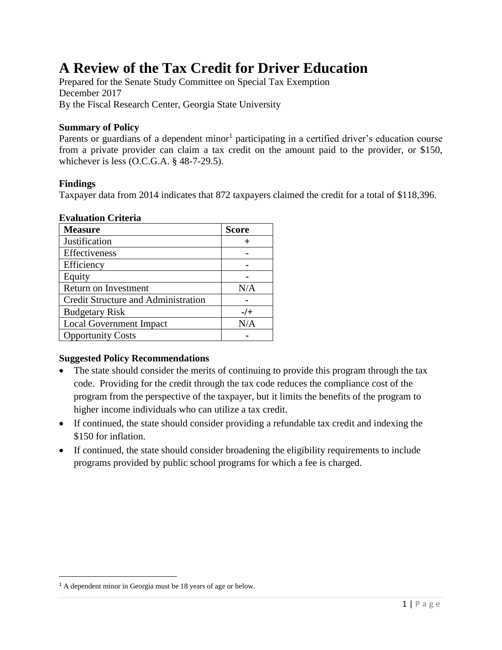# **A Review of the Tax Credit for Driver Education**

Prepared for the Senate Study Committee on Special Tax Exemption December 2017 By the Fiscal Research Center, Georgia State University

#### **Summary of Policy**

Parents or guardians of a dependent minor<sup>1</sup> participating in a certified driver's education course from a private provider can claim a tax credit on the amount paid to the provider, or \$150, whichever is less (O.C.G.A. § 48-7-29.5).

#### **Findings**

 $\overline{\phantom{a}}$ 

Taxpayer data from 2014 indicates that 872 taxpayers claimed the credit for a total of \$118,396.

#### **Evaluation Criteria**

| <b>Measure</b>                      | <b>Score</b> |  |  |
|-------------------------------------|--------------|--|--|
| Justification                       |              |  |  |
| Effectiveness                       |              |  |  |
| Efficiency                          |              |  |  |
| Equity                              |              |  |  |
| Return on Investment                | N/A          |  |  |
| Credit Structure and Administration |              |  |  |
| <b>Budgetary Risk</b>               | $-$ /+       |  |  |
| <b>Local Government Impact</b>      | N/A          |  |  |
| <b>Opportunity Costs</b>            |              |  |  |

#### **Suggested Policy Recommendations**

- The state should consider the merits of continuing to provide this program through the tax code. Providing for the credit through the tax code reduces the compliance cost of the program from the perspective of the taxpayer, but it limits the benefits of the program to higher income individuals who can utilize a tax credit.
- If continued, the state should consider providing a refundable tax credit and indexing the \$150 for inflation.
- If continued, the state should consider broadening the eligibility requirements to include programs provided by public school programs for which a fee is charged.

<sup>1</sup> A dependent minor in Georgia must be 18 years of age or below.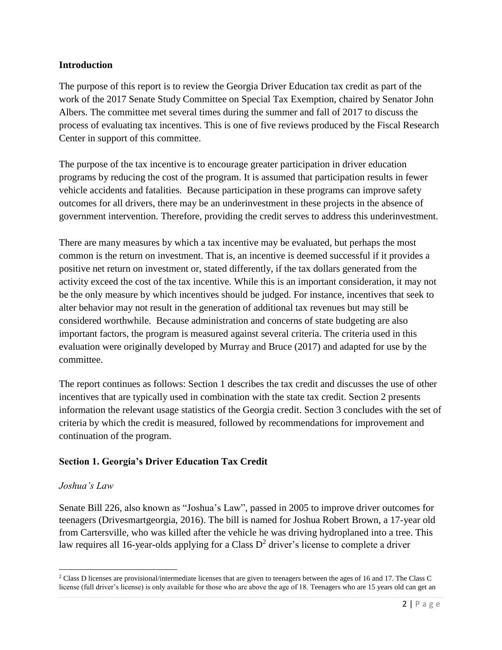#### **Introduction**

The purpose of this report is to review the Georgia Driver Education tax credit as part of the work of the 2017 Senate Study Committee on Special Tax Exemption, chaired by Senator John Albers. The committee met several times during the summer and fall of 2017 to discuss the process of evaluating tax incentives. This is one of five reviews produced by the Fiscal Research Center in support of this committee.

The purpose of the tax incentive is to encourage greater participation in driver education programs by reducing the cost of the program. It is assumed that participation results in fewer vehicle accidents and fatalities. Because participation in these programs can improve safety outcomes for all drivers, there may be an underinvestment in these projects in the absence of government intervention. Therefore, providing the credit serves to address this underinvestment.

There are many measures by which a tax incentive may be evaluated, but perhaps the most common is the return on investment. That is, an incentive is deemed successful if it provides a positive net return on investment or, stated differently, if the tax dollars generated from the activity exceed the cost of the tax incentive. While this is an important consideration, it may not be the only measure by which incentives should be judged. For instance, incentives that seek to alter behavior may not result in the generation of additional tax revenues but may still be considered worthwhile. Because administration and concerns of state budgeting are also important factors, the program is measured against several criteria. The criteria used in this evaluation were originally developed by Murray and Bruce (2017) and adapted for use by the committee.

The report continues as follows: Section 1 describes the tax credit and discusses the use of other incentives that are typically used in combination with the state tax credit. Section 2 presents information the relevant usage statistics of the Georgia credit. Section 3 concludes with the set of criteria by which the credit is measured, followed by recommendations for improvement and continuation of the program.

## **Section 1. Georgia's Driver Education Tax Credit**

## *Joshua's Law*

 $\overline{\phantom{a}}$ 

Senate Bill 226, also known as "Joshua's Law", passed in 2005 to improve driver outcomes for teenagers (Drivesmartgeorgia, 2016). The bill is named for Joshua Robert Brown, a 17-year old from Cartersville, who was killed after the vehicle he was driving hydroplaned into a tree. This law requires all 16-year-olds applying for a Class  $D^2$  driver's license to complete a driver

<sup>2</sup> Class D licenses are provisional/intermediate licenses that are given to teenagers between the ages of 16 and 17. The Class C license (full driver's license) is only available for those who are above the age of 18. Teenagers who are 15 years old can get an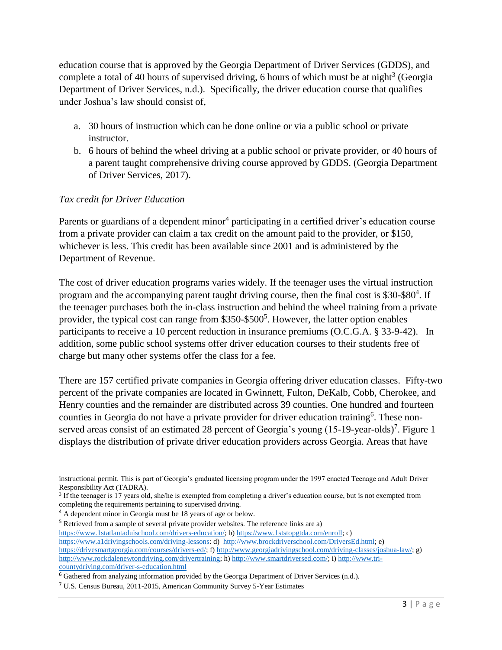education course that is approved by the Georgia Department of Driver Services (GDDS), and complete a total of 40 hours of supervised driving, 6 hours of which must be at night<sup>3</sup> (Georgia Department of Driver Services, n.d.). Specifically, the driver education course that qualifies under Joshua's law should consist of,

- a. 30 hours of instruction which can be done online or via a public school or private instructor.
- b. 6 hours of behind the wheel driving at a public school or private provider, or 40 hours of a parent taught comprehensive driving course approved by GDDS. (Georgia Department of Driver Services, 2017).

# *Tax credit for Driver Education*

Parents or guardians of a dependent minor<sup>4</sup> participating in a certified driver's education course from a private provider can claim a tax credit on the amount paid to the provider, or \$150, whichever is less. This credit has been available since 2001 and is administered by the Department of Revenue.

The cost of driver education programs varies widely. If the teenager uses the virtual instruction program and the accompanying parent taught driving course, then the final cost is \$30-\$80<sup>4</sup>. If the teenager purchases both the in-class instruction and behind the wheel training from a private provider, the typical cost can range from \$350-\$500<sup>5</sup>. However, the latter option enables participants to receive a 10 percent reduction in insurance premiums (O.C.G.A. § 33-9-42). In addition, some public school systems offer driver education courses to their students free of charge but many other systems offer the class for a fee.

There are 157 certified private companies in Georgia offering driver education classes. Fifty-two percent of the private companies are located in Gwinnett, Fulton, DeKalb, Cobb, Cherokee, and Henry counties and the remainder are distributed across 39 counties. One hundred and fourteen counties in Georgia do not have a private provider for driver education training<sup>6</sup>. These nonserved areas consist of an estimated 28 percent of Georgia's young  $(15-19$ -year-olds)<sup>7</sup>. Figure 1 displays the distribution of private driver education providers across Georgia. Areas that have

<sup>5</sup> Retrieved from a sample of several private provider websites. The reference links are a) [https://www.1statlantaduischool.com/drivers-education/;](https://www.1statlantaduischool.com/drivers-education/) b[\) https://www.1ststopgtda.com/enroll;](https://www.1ststopgtda.com/enroll) c) [https://www.a1drivingschools.com/driving-lessons:](https://www.a1drivingschools.com/driving-lessons) d) [http://www.brockdriverschool.com/DriversEd.html;](http://www.brockdriverschool.com/DriversEd.html) e) [https://drivesmartgeorgia.com/courses/drivers-ed/;](https://drivesmartgeorgia.com/courses/drivers-ed/) f) [http://www.georgiadrivingschool.com/driving-classes/joshua-law/;](http://www.georgiadrivingschool.com/driving-classes/joshua-law/) g) [http://www.rockdalenewtondriving.com/drivertraining;](http://www.rockdalenewtondriving.com/drivertraining) h) [http://www.smartdriversed.com/;](http://www.smartdriversed.com/) i[\) http://www.tri](http://www.tri-countydriving.com/driver-s-education.html)[countydriving.com/driver-s-education.html](http://www.tri-countydriving.com/driver-s-education.html)

 $\overline{\phantom{a}}$ instructional permit. This is part of Georgia's graduated licensing program under the 1997 enacted Teenage and Adult Driver Responsibility Act (TADRA).

<sup>3</sup> If the teenager is 17 years old, she/he is exempted from completing a driver's education course, but is not exempted from completing the requirements pertaining to supervised driving.

<sup>4</sup> A dependent minor in Georgia must be 18 years of age or below.

 $6$  Gathered from analyzing information provided by the Georgia Department of Driver Services (n.d.).

<sup>7</sup> U.S. Census Bureau, 2011-2015, American Community Survey 5-Year Estimates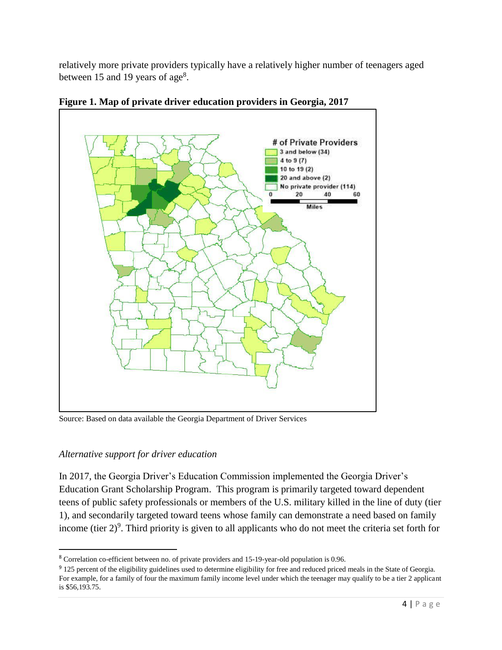relatively more private providers typically have a relatively higher number of teenagers aged between 15 and 19 years of age<sup>8</sup>.



**Figure 1. Map of private driver education providers in Georgia, 2017**

Source: Based on data available the Georgia Department of Driver Services

## *Alternative support for driver education*

l

In 2017, the Georgia Driver's Education Commission implemented the Georgia Driver's Education Grant Scholarship Program. This program is primarily targeted toward dependent teens of public safety professionals or members of the U.S. military killed in the line of duty (tier 1), and secondarily targeted toward teens whose family can demonstrate a need based on family income (tier  $2)^9$ . Third priority is given to all applicants who do not meet the criteria set forth for

<sup>&</sup>lt;sup>8</sup> Correlation co-efficient between no. of private providers and 15-19-year-old population is 0.96.

<sup>&</sup>lt;sup>9</sup> 125 percent of the eligibility guidelines used to determine eligibility for free and reduced priced meals in the State of Georgia. For example, for a family of four the maximum family income level under which the teenager may qualify to be a tier 2 applicant is \$56,193.75.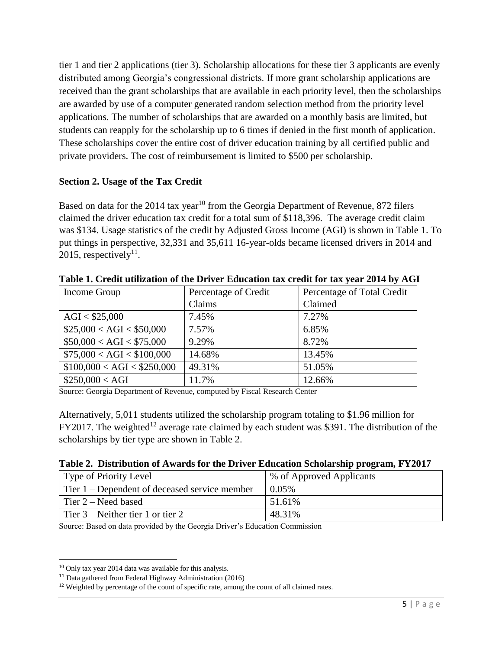tier 1 and tier 2 applications (tier 3). Scholarship allocations for these tier 3 applicants are evenly distributed among Georgia's congressional districts. If more grant scholarship applications are received than the grant scholarships that are available in each priority level, then the scholarships are awarded by use of a computer generated random selection method from the priority level applications. The number of scholarships that are awarded on a monthly basis are limited, but students can reapply for the scholarship up to 6 times if denied in the first month of application. These scholarships cover the entire cost of driver education training by all certified public and private providers. The cost of reimbursement is limited to \$500 per scholarship.

# **Section 2. Usage of the Tax Credit**

Based on data for the  $2014$  tax year<sup>10</sup> from the Georgia Department of Revenue, 872 filers claimed the driver education tax credit for a total sum of \$118,396. The average credit claim was \$134. Usage statistics of the credit by Adjusted Gross Income (AGI) is shown in Table 1. To put things in perspective, 32,331 and 35,611 16-year-olds became licensed drivers in 2014 and 2015, respectively<sup>11</sup>.

| Income Group                | Percentage of Total Credit<br>Percentage of Credit |         |
|-----------------------------|----------------------------------------------------|---------|
|                             | Claims                                             | Claimed |
| AGI < \$25,000              | 7.45%                                              | 7.27%   |
| \$25,000 < AGI < \$50,000   | 7.57%                                              | 6.85%   |
| \$50,000 < AGI < \$75,000   | 9.29%                                              | 8.72%   |
| \$75,000 < AGI < \$100,000  | 14.68%                                             | 13.45%  |
| \$100,000 < AGI < \$250,000 | 49.31%                                             | 51.05%  |
| \$250,000 < AGI             | 11.7%                                              | 12.66%  |

**Table 1. Credit utilization of the Driver Education tax credit for tax year 2014 by AGI**

Source: Georgia Department of Revenue, computed by Fiscal Research Center

Alternatively, 5,011 students utilized the scholarship program totaling to \$1.96 million for FY2017. The weighted<sup>12</sup> average rate claimed by each student was \$391. The distribution of the scholarships by tier type are shown in Table 2.

| Table 2. Distribution of Awards for the Driver Education Scholarship program, FY2017 |  |  |  |
|--------------------------------------------------------------------------------------|--|--|--|
|                                                                                      |  |  |  |

| <b>Type of Priority Level</b>                   | % of Approved Applicants |
|-------------------------------------------------|--------------------------|
| Tier $1$ – Dependent of deceased service member | $0.05\%$                 |
| Tier $2$ – Need based                           | 51.61%                   |
| Tier $3$ – Neither tier 1 or tier 2             | 48.31%                   |
| $\sim$ $\sim$ $\sim$                            | .                        |

Source: Based on data provided by the Georgia Driver's Education Commission

 $\overline{\phantom{a}}$  $10$  Only tax year 2014 data was available for this analysis.

<sup>11</sup> Data gathered from Federal Highway Administration (2016)

<sup>&</sup>lt;sup>12</sup> Weighted by percentage of the count of specific rate, among the count of all claimed rates.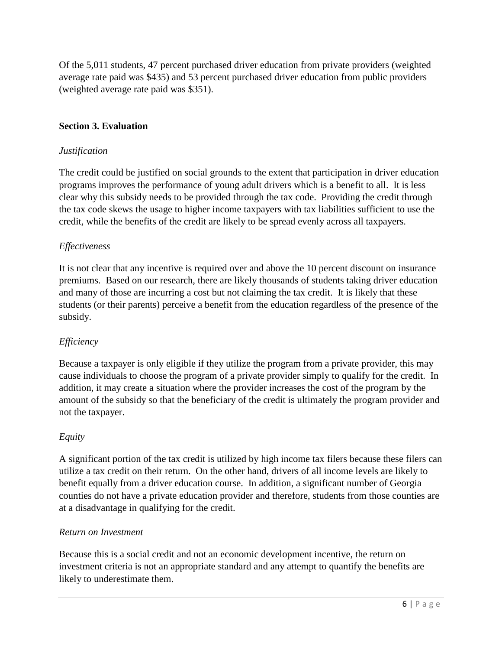Of the 5,011 students, 47 percent purchased driver education from private providers (weighted average rate paid was \$435) and 53 percent purchased driver education from public providers (weighted average rate paid was \$351).

# **Section 3. Evaluation**

## *Justification*

The credit could be justified on social grounds to the extent that participation in driver education programs improves the performance of young adult drivers which is a benefit to all. It is less clear why this subsidy needs to be provided through the tax code. Providing the credit through the tax code skews the usage to higher income taxpayers with tax liabilities sufficient to use the credit, while the benefits of the credit are likely to be spread evenly across all taxpayers.

## *Effectiveness*

It is not clear that any incentive is required over and above the 10 percent discount on insurance premiums. Based on our research, there are likely thousands of students taking driver education and many of those are incurring a cost but not claiming the tax credit. It is likely that these students (or their parents) perceive a benefit from the education regardless of the presence of the subsidy.

## *Efficiency*

Because a taxpayer is only eligible if they utilize the program from a private provider, this may cause individuals to choose the program of a private provider simply to qualify for the credit. In addition, it may create a situation where the provider increases the cost of the program by the amount of the subsidy so that the beneficiary of the credit is ultimately the program provider and not the taxpayer.

#### *Equity*

A significant portion of the tax credit is utilized by high income tax filers because these filers can utilize a tax credit on their return. On the other hand, drivers of all income levels are likely to benefit equally from a driver education course. In addition, a significant number of Georgia counties do not have a private education provider and therefore, students from those counties are at a disadvantage in qualifying for the credit.

#### *Return on Investment*

Because this is a social credit and not an economic development incentive, the return on investment criteria is not an appropriate standard and any attempt to quantify the benefits are likely to underestimate them.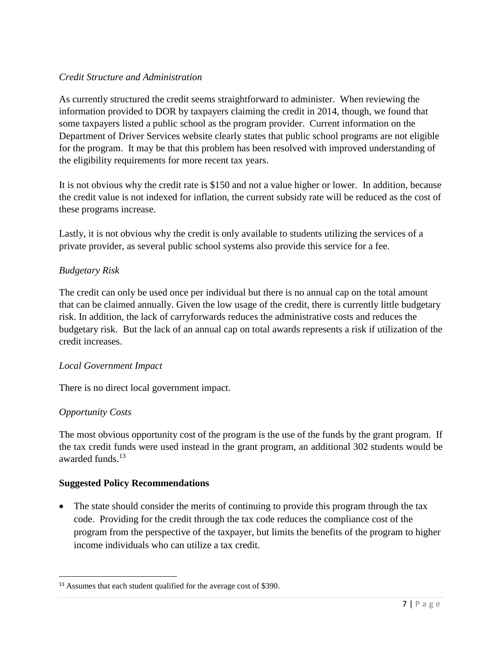# *Credit Structure and Administration*

As currently structured the credit seems straightforward to administer. When reviewing the information provided to DOR by taxpayers claiming the credit in 2014, though, we found that some taxpayers listed a public school as the program provider. Current information on the Department of Driver Services website clearly states that public school programs are not eligible for the program. It may be that this problem has been resolved with improved understanding of the eligibility requirements for more recent tax years.

It is not obvious why the credit rate is \$150 and not a value higher or lower. In addition, because the credit value is not indexed for inflation, the current subsidy rate will be reduced as the cost of these programs increase.

Lastly, it is not obvious why the credit is only available to students utilizing the services of a private provider, as several public school systems also provide this service for a fee.

# *Budgetary Risk*

The credit can only be used once per individual but there is no annual cap on the total amount that can be claimed annually. Given the low usage of the credit, there is currently little budgetary risk. In addition, the lack of carryforwards reduces the administrative costs and reduces the budgetary risk. But the lack of an annual cap on total awards represents a risk if utilization of the credit increases.

## *Local Government Impact*

There is no direct local government impact.

## *Opportunity Costs*

 $\overline{\phantom{a}}$ 

The most obvious opportunity cost of the program is the use of the funds by the grant program. If the tax credit funds were used instead in the grant program, an additional 302 students would be awarded funds.<sup>13</sup>

## **Suggested Policy Recommendations**

• The state should consider the merits of continuing to provide this program through the tax code. Providing for the credit through the tax code reduces the compliance cost of the program from the perspective of the taxpayer, but limits the benefits of the program to higher income individuals who can utilize a tax credit.

<sup>&</sup>lt;sup>13</sup> Assumes that each student qualified for the average cost of \$390.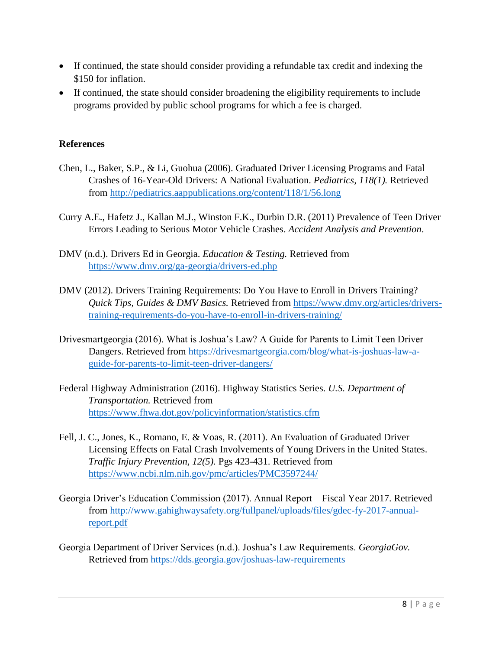- If continued, the state should consider providing a refundable tax credit and indexing the \$150 for inflation.
- If continued, the state should consider broadening the eligibility requirements to include programs provided by public school programs for which a fee is charged.

# **References**

- Chen, L., Baker, S.P., & Li, Guohua (2006). Graduated Driver Licensing Programs and Fatal Crashes of 16-Year-Old Drivers: A National Evaluation. *Pediatrics, 118(1).* Retrieved from<http://pediatrics.aappublications.org/content/118/1/56.long>
- Curry A.E., Hafetz J., Kallan M.J., Winston F.K., Durbin D.R. (2011) Prevalence of Teen Driver Errors Leading to Serious Motor Vehicle Crashes. *Accident Analysis and Prevention*.
- DMV (n.d.). Drivers Ed in Georgia. *Education & Testing.* Retrieved from <https://www.dmv.org/ga-georgia/drivers-ed.php>
- DMV (2012). Drivers Training Requirements: Do You Have to Enroll in Drivers Training? *Quick Tips, Guides & DMV Basics.* Retrieved from [https://www.dmv.org/articles/drivers](https://www.dmv.org/articles/drivers-training-requirements-do-you-have-to-enroll-in-drivers-training/)[training-requirements-do-you-have-to-enroll-in-drivers-training/](https://www.dmv.org/articles/drivers-training-requirements-do-you-have-to-enroll-in-drivers-training/)
- Drivesmartgeorgia (2016). What is Joshua's Law? A Guide for Parents to Limit Teen Driver Dangers. Retrieved from [https://drivesmartgeorgia.com/blog/what-is-joshuas-law-a](https://drivesmartgeorgia.com/blog/what-is-joshuas-law-a-guide-for-parents-to-limit-teen-driver-dangers/)[guide-for-parents-to-limit-teen-driver-dangers/](https://drivesmartgeorgia.com/blog/what-is-joshuas-law-a-guide-for-parents-to-limit-teen-driver-dangers/)
- Federal Highway Administration (2016). Highway Statistics Series. *U.S. Department of Transportation.* Retrieved from <https://www.fhwa.dot.gov/policyinformation/statistics.cfm>
- Fell, J. C., Jones, K., Romano, E. & Voas, R. (2011). An Evaluation of Graduated Driver Licensing Effects on Fatal Crash Involvements of Young Drivers in the United States. *Traffic Injury Prevention, 12(5).* Pgs 423-431. Retrieved from <https://www.ncbi.nlm.nih.gov/pmc/articles/PMC3597244/>
- Georgia Driver's Education Commission (2017). Annual Report Fiscal Year 2017. Retrieved from [http://www.gahighwaysafety.org/fullpanel/uploads/files/gdec-fy-2017-annual](http://www.gahighwaysafety.org/fullpanel/uploads/files/gdec-fy-2017-annual-report.pdf)[report.pdf](http://www.gahighwaysafety.org/fullpanel/uploads/files/gdec-fy-2017-annual-report.pdf)
- Georgia Department of Driver Services (n.d.). Joshua's Law Requirements. *GeorgiaGov.*  Retrieved from<https://dds.georgia.gov/joshuas-law-requirements>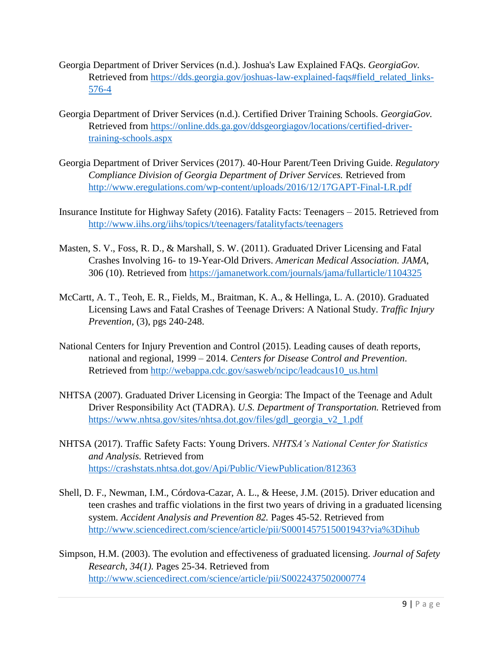- Georgia Department of Driver Services (n.d.). Joshua's Law Explained FAQs. *GeorgiaGov.*  Retrieved from [https://dds.georgia.gov/joshuas-law-explained-faqs#field\\_related\\_links-](https://dds.georgia.gov/joshuas-law-explained-faqs#field_related_links-576-4)[576-4](https://dds.georgia.gov/joshuas-law-explained-faqs#field_related_links-576-4)
- Georgia Department of Driver Services (n.d.). Certified Driver Training Schools. *GeorgiaGov.*  Retrieved from [https://online.dds.ga.gov/ddsgeorgiagov/locations/certified-driver](https://online.dds.ga.gov/ddsgeorgiagov/locations/certified-driver-training-schools.aspx)[training-schools.aspx](https://online.dds.ga.gov/ddsgeorgiagov/locations/certified-driver-training-schools.aspx)
- Georgia Department of Driver Services (2017). 40-Hour Parent/Teen Driving Guide. *Regulatory Compliance Division of Georgia Department of Driver Services.* Retrieved from <http://www.eregulations.com/wp-content/uploads/2016/12/17GAPT-Final-LR.pdf>
- Insurance Institute for Highway Safety (2016). Fatality Facts: Teenagers 2015. Retrieved from <http://www.iihs.org/iihs/topics/t/teenagers/fatalityfacts/teenagers>
- Masten, S. V., Foss, R. D., & Marshall, S. W. (2011). Graduated Driver Licensing and Fatal Crashes Involving 16- to 19-Year-Old Drivers. *American Medical Association. JAMA*, 306 (10). Retrieved from<https://jamanetwork.com/journals/jama/fullarticle/1104325>
- McCartt, A. T., Teoh, E. R., Fields, M., Braitman, K. A., & Hellinga, L. A. (2010). Graduated Licensing Laws and Fatal Crashes of Teenage Drivers: A National Study. *Traffic Injury Prevention,* (3), pgs 240-248.
- National Centers for Injury Prevention and Control (2015). Leading causes of death reports, national and regional, 1999 – 2014. *Centers for Disease Control and Prevention*. Retrieved from [http://webappa.cdc.gov/sasweb/ncipc/leadcaus10\\_us.html](http://webappa.cdc.gov/sasweb/ncipc/leadcaus10_us.html)
- NHTSA (2007). Graduated Driver Licensing in Georgia: The Impact of the Teenage and Adult Driver Responsibility Act (TADRA). *U.S. Department of Transportation.* Retrieved from [https://www.nhtsa.gov/sites/nhtsa.dot.gov/files/gdl\\_georgia\\_v2\\_1.pdf](https://www.nhtsa.gov/sites/nhtsa.dot.gov/files/gdl_georgia_v2_1.pdf)
- NHTSA (2017). Traffic Safety Facts: Young Drivers. *NHTSA's National Center for Statistics and Analysis.* Retrieved from <https://crashstats.nhtsa.dot.gov/Api/Public/ViewPublication/812363>
- Shell, D. F., Newman, I.M., Córdova-Cazar, A. L., & Heese, J.M. (2015). Driver education and teen crashes and traffic violations in the first two years of driving in a graduated licensing system. *Accident Analysis and Prevention 82.* Pages 45-52. Retrieved from <http://www.sciencedirect.com/science/article/pii/S0001457515001943?via%3Dihub>
- Simpson, H.M. (2003). The evolution and effectiveness of graduated licensing. *Journal of Safety Research, 34(1).* Pages 25-34. Retrieved from <http://www.sciencedirect.com/science/article/pii/S0022437502000774>